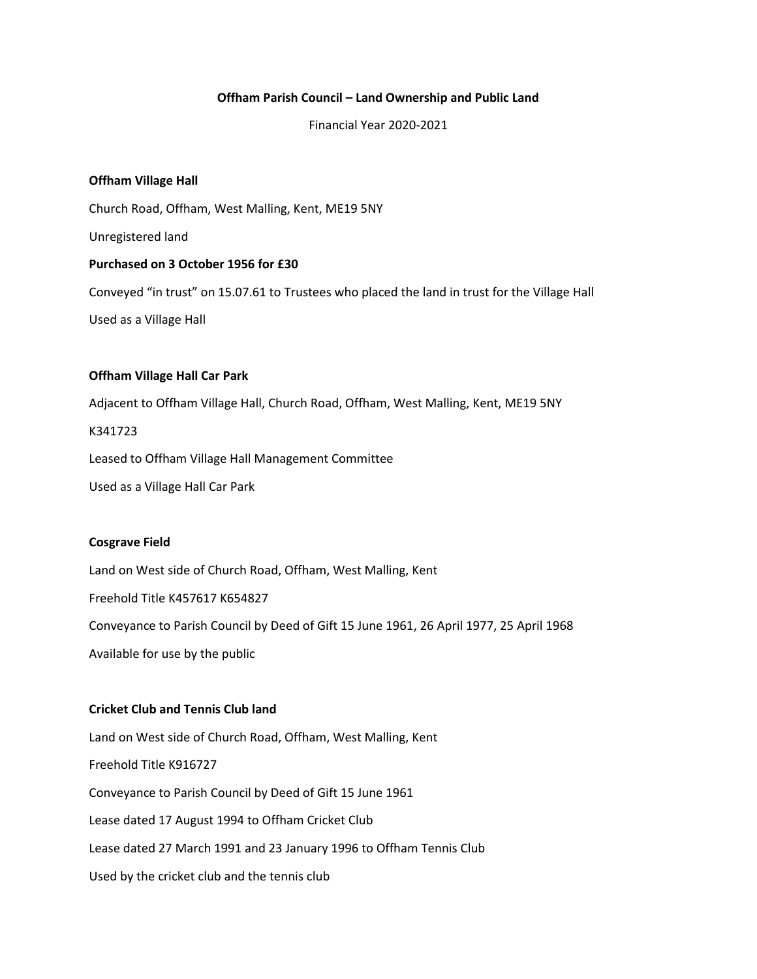## **Offham Parish Council – Land Ownership and Public Land**

Financial Year 2020-2021

#### **Offham Village Hall**

Church Road, Offham, West Malling, Kent, ME19 5NY

Unregistered land

# **Purchased on 3 October 1956 for £30**

Conveyed "in trust" on 15.07.61 to Trustees who placed the land in trust for the Village Hall

Used as a Village Hall

## **Offham Village Hall Car Park**

Adjacent to Offham Village Hall, Church Road, Offham, West Malling, Kent, ME19 5NY

K341723

Leased to Offham Village Hall Management Committee

Used as a Village Hall Car Park

#### **Cosgrave Field**

Land on West side of Church Road, Offham, West Malling, Kent Freehold Title K457617 K654827 Conveyance to Parish Council by Deed of Gift 15 June 1961, 26 April 1977, 25 April 1968 Available for use by the public

# **Cricket Club and Tennis Club land**

Land on West side of Church Road, Offham, West Malling, Kent Freehold Title K916727 Conveyance to Parish Council by Deed of Gift 15 June 1961 Lease dated 17 August 1994 to Offham Cricket Club Lease dated 27 March 1991 and 23 January 1996 to Offham Tennis Club Used by the cricket club and the tennis club